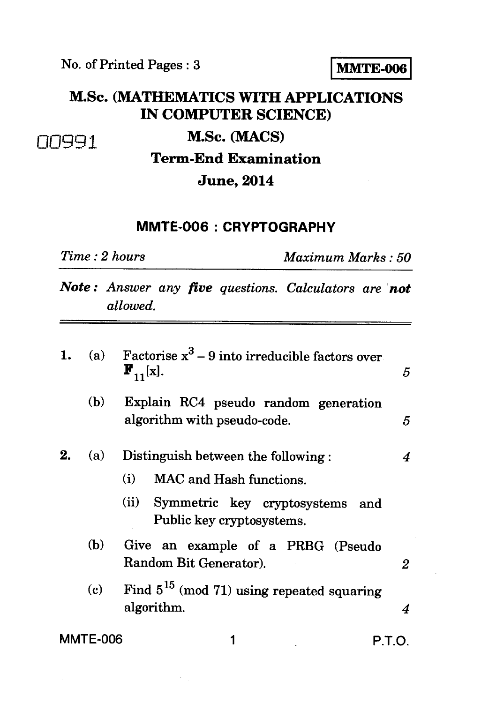### M.Sc. **(MATHEMATICS WITH APPLICATIONS IN COMPUTER SCIENCE)**

## **Term-End Examination**

#### **June, 2014**

#### **MMTE-006 : CRYPTOGRAPHY**

*Time : 2 hours Maximum Marks : 50* 

*Note : Answer any five questions. Calculators are not allowed.* 

| 1. | (a)             | Factorise $x^3$ – 9 into irreducible factors over<br>$\mathbf{F}_{11}^{\dagger}$ [x].                                                        | 5 |  |  |  |
|----|-----------------|----------------------------------------------------------------------------------------------------------------------------------------------|---|--|--|--|
|    | (b)             | Explain RC4 pseudo random generation<br>algorithm with pseudo-code.                                                                          | 5 |  |  |  |
| 2. | (a)             | Distinguish between the following:<br>MAC and Hash functions.<br>(i)<br>(ii) Symmetric key cryptosystems<br>and<br>Public key cryptosystems. | 4 |  |  |  |
|    | (b)             | Give an example of a PRBG (Pseudo<br>Random Bit Generator).                                                                                  | 2 |  |  |  |
|    | (c)             | Find $5^{15}$ (mod 71) using repeated squaring<br>algorithm.<br>4                                                                            |   |  |  |  |
|    | <b>MMTE-006</b> | P.T.O.                                                                                                                                       |   |  |  |  |

# 00991 **M.Sc. (MACS)**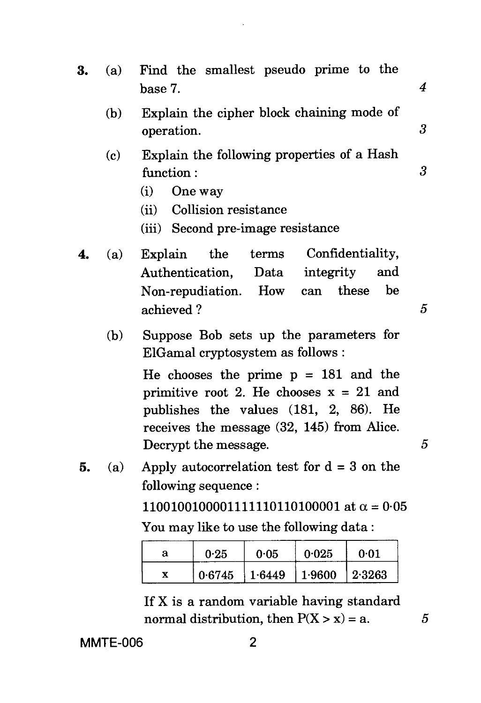| 3. | (a) | Find the smallest pseudo prime to the<br>base 7.                                                                                                                                                                                                               | 4 |  |  |
|----|-----|----------------------------------------------------------------------------------------------------------------------------------------------------------------------------------------------------------------------------------------------------------------|---|--|--|
|    | (b) | Explain the cipher block chaining mode of<br>operation.                                                                                                                                                                                                        |   |  |  |
|    | (c) | Explain the following properties of a Hash<br>function:<br>One way<br>(i)<br>(ii) Collision resistance<br>(iii) Second pre-image resistance                                                                                                                    | 3 |  |  |
| 4. | (a) | Confidentiality,<br>Explain the<br>terms<br>Authentication, Data<br>integrity<br>and<br>be<br>these<br>Non-repudiation. How can<br>achieved?                                                                                                                   | 5 |  |  |
|    | (b) | Suppose Bob sets up the parameters for<br>ElGamal cryptosystem as follows :<br>He chooses the prime $p = 181$ and the<br>primitive root 2. He chooses $x = 21$ and<br>publishes the values $(181, 2, 86)$ . He<br>receives the message $(32, 145)$ from Alice. |   |  |  |

**5.** (a) Apply autocorrelation test for d = 3 on the following sequence :

> 11001001000011111110110100001 at  $\alpha = 0.05$ You may like to use the following data :

Decrypt the message. 5

| а | 0.25   | 0.05   | 0.025  | 0.01     |
|---|--------|--------|--------|----------|
|   | 0.6745 | 1.6449 | 1.9600 | $2.3263$ |

If X is a random variable having standard normal distribution, then  $P(X > x) = a$ . 5

**MMTE-006** 2